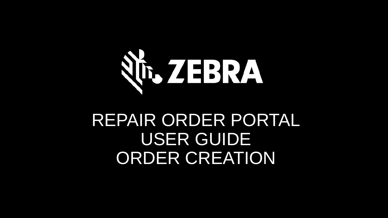

## REPAIR ORDER PORTAL USER GUIDE ORDER CREATION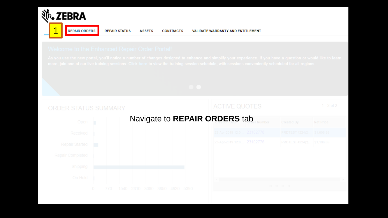

**REPAIR ORDERS REPAIR STATUS** 

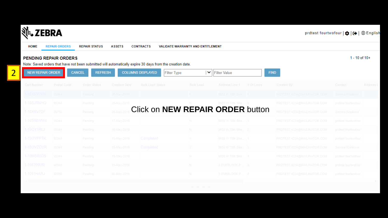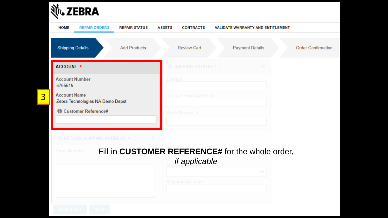| HOME                                                    | <b>REPAIR ORDERS</b> | <b>REPAIR STATUS</b>                             | <b>ASSETS</b> | <b>CONTRACTS</b>             | VALIDATE WARRANTY AND ENTITLEMENT |                           |
|---------------------------------------------------------|----------------------|--------------------------------------------------|---------------|------------------------------|-----------------------------------|---------------------------|
| <b>Shipping Details</b>                                 |                      | <b>Add Products</b>                              |               | <b>Review Cart</b>           | <b>Payment Details</b>            | <b>Order Confirmation</b> |
| <b>ACCOUNT *</b>                                        |                      |                                                  |               | <b>6 SHIPPING CONTACT *</b>  |                                   |                           |
| <b>Account Number</b><br>6765515                        |                      |                                                  | Contact       |                              |                                   |                           |
| <b>Account Name</b><br>Zebra Technologies NA Demo Depot |                      |                                                  |               | <b>Contact Email Address</b> |                                   |                           |
| Customer Reference#                                     |                      |                                                  |               | Work Phone# *                |                                   |                           |
|                                                         |                      |                                                  |               |                              |                                   |                           |
| <b>C RETURN SHIPPING ADDRESS *</b>                      |                      |                                                  |               |                              |                                   |                           |
| <b>Store Number</b>                                     |                      | Fill in CUSTOMER REFERENCE# for the whole order, |               | if applicable                |                                   |                           |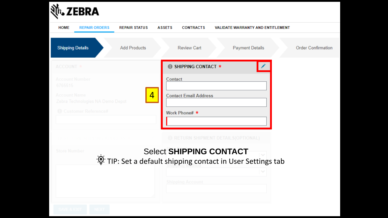| <b>HOME</b><br><b>REPAIR ORDERS</b>                     | <b>REPAIR STATUS</b> | <b>ASSETS</b><br><b>CONTRACTS</b> | VALIDATE WARRANTY AND ENTITLEMENT                        |                           |
|---------------------------------------------------------|----------------------|-----------------------------------|----------------------------------------------------------|---------------------------|
| <b>Shipping Details</b>                                 | <b>Add Products</b>  | <b>Review Cart</b>                | <b>Payment Details</b>                                   | <b>Order Confirmation</b> |
| ACCOUNT *                                               |                      | <b>B</b> SHIPPING CONTACT *       | k.                                                       |                           |
| <b>Account Number</b><br>6765515                        |                      | Contact                           |                                                          |                           |
| <b>Account Name</b><br>Zebra Technologies NA Demo Depot | $\overline{4}$       | <b>Contact Email Address</b>      |                                                          |                           |
| <b><i>Customer Reference#</i></b>                       |                      | Work Phone# *                     |                                                          |                           |
|                                                         |                      |                                   | RETURN SHIPMENT DETAILS(OPTIONAL)                        |                           |
| <b>Store Number</b>                                     |                      | <b>Select SHIPPING CONTACT</b>    | TIP: Set a default shipping contact in User Settings tab |                           |
|                                                         |                      |                                   |                                                          |                           |
|                                                         |                      |                                   |                                                          |                           |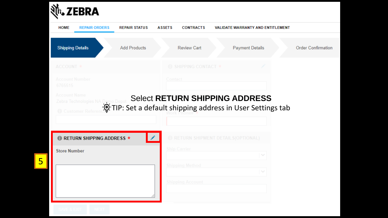| <b>HOME</b><br><b>REPAIR ORDERS</b>                                                                   | <b>REPAIR STATUS</b> | <b>ASSETS</b> | <b>CONTRACTS</b>            | <b>VALIDATE WARRANTY AND ENTITLEMENT</b>                                                                                                            |
|-------------------------------------------------------------------------------------------------------|----------------------|---------------|-----------------------------|-----------------------------------------------------------------------------------------------------------------------------------------------------|
| <b>Shipping Details</b>                                                                               | <b>Add Products</b>  |               | <b>Review Cart</b>          | <b>Payment Details</b><br><b>Order Confirmation</b>                                                                                                 |
| ACCOUNT *                                                                                             |                      |               | <b>6 SHIPPING CONTACT *</b> |                                                                                                                                                     |
| <b>Account Number</b><br>6765515                                                                      |                      | Contact       |                             |                                                                                                                                                     |
|                                                                                                       |                      |               |                             |                                                                                                                                                     |
| Zebra Technologies NA Demo Dep<br><b><i>Customer Refere</i></b><br><b>C RETURN SHIPPING ADDRESS *</b> |                      | $\mathscr{L}$ |                             | <b>Select RETURN SHIPPING ADDRESS</b><br>TO: TIP: Set a default shipping address in User Settings tab<br><b>C</b> RETURN SHIPMENT DETAILS(OPTIONAL) |
| <b>Store Number</b>                                                                                   |                      |               | <b>Ship Carrier</b>         |                                                                                                                                                     |
|                                                                                                       |                      |               | <b>Shipping Method</b>      |                                                                                                                                                     |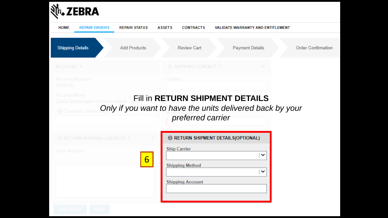| <b>HOME</b>                                                                     | <b>REPAIR ORDERS</b>               | <b>REPAIR STATUS</b>                                      | <b>ASSETS</b> | <b>CONTRACTS</b>                                     | <b>VALIDATE WARRANTY AND ENTITLEMENT</b> |                           |
|---------------------------------------------------------------------------------|------------------------------------|-----------------------------------------------------------|---------------|------------------------------------------------------|------------------------------------------|---------------------------|
| <b>Shipping Details</b>                                                         |                                    | <b>Add Products</b>                                       |               | <b>Review Cart</b>                                   | <b>Payment Details</b>                   | <b>Order Confirmation</b> |
| ACCOUNT *                                                                       |                                    |                                                           |               | <b>SHIPPING CONTACT *</b>                            |                                          |                           |
| <b>Account Number</b><br>6765515                                                |                                    |                                                           | Contact       |                                                      |                                          |                           |
|                                                                                 |                                    |                                                           |               |                                                      |                                          |                           |
| <b>Account Name</b><br>Zebra Technologies NA Demo Depot<br><b>f</b> Customer Re |                                    | Only if you want to have the units delivered back by your |               | Fill in RETURN SHIPMENT DETAILS<br>preferred carrier |                                          |                           |
|                                                                                 | <b>C RETURN SHIPPING ADDRESS *</b> |                                                           |               | <b>C</b> RETURN SHIPMENT DETAILS(OPTIONAL)           |                                          |                           |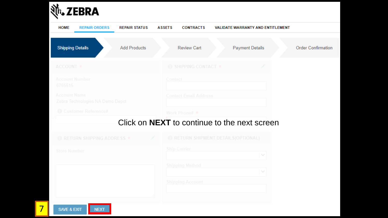| र्थे <b>। ZEBRA</b>                                     |                                       |                              |                                                     |                           |
|---------------------------------------------------------|---------------------------------------|------------------------------|-----------------------------------------------------|---------------------------|
| <b>REPAIR ORDERS</b><br><b>HOME</b>                     | <b>REPAIR STATUS</b><br><b>ASSETS</b> | <b>CONTRACTS</b>             | <b>VALIDATE WARRANTY AND ENTITLEMENT</b>            |                           |
| <b>Shipping Details</b>                                 | <b>Add Products</b>                   | <b>Review Cart</b>           | <b>Payment Details</b>                              | <b>Order Confirmation</b> |
| ACCOUNT *                                               |                                       | <b>6 SHIPPING CONTACT *</b>  |                                                     |                           |
| <b>Account Number</b><br>6765515                        | Contact                               |                              |                                                     |                           |
| <b>Account Name</b><br>Zebra Technologies NA Demo Depot |                                       | <b>Contact Email Address</b> |                                                     |                           |
| <b><i>Customer Reference#</i></b>                       |                                       | Work Phone# *                |                                                     |                           |
|                                                         |                                       |                              | Click on <b>NEXT</b> to continue to the next screen |                           |

| <b>ID RETURN SHIPPING ADDRESS *</b> | <b>C RETURN SHIPMENT DETAILS (OPTIONAL)</b> |
|-------------------------------------|---------------------------------------------|
| <b>Store Number</b>                 | <b>Ship Carrier</b>                         |
|                                     | <b>Shipping Method</b><br>$\vee$            |
|                                     | <b>Shipping Account</b>                     |
|                                     |                                             |

SAVE & EXIT NEXT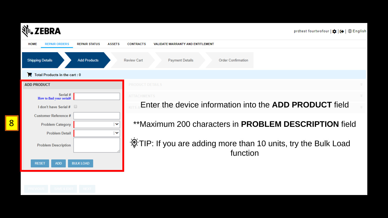| <b>ASSETS</b><br><b>HOME</b><br><b>REPAIR ORDERS</b><br><b>REPAIR STATUS</b><br><b>CONTRACTS</b><br>VALIDATE WARRANTY AND ENTITLEMENT<br><b>Shipping Details</b><br><b>Add Products</b><br><b>Review Cart</b><br><b>Payment Details</b><br><b>Order Confirmation</b> | prdtest fourtwofour   ✿   (→   ⊕ English |
|----------------------------------------------------------------------------------------------------------------------------------------------------------------------------------------------------------------------------------------------------------------------|------------------------------------------|
|                                                                                                                                                                                                                                                                      |                                          |
|                                                                                                                                                                                                                                                                      |                                          |
| $\blacksquare$ Total Products in the cart : 0                                                                                                                                                                                                                        |                                          |
| <b>PRODUCT DETAILS</b><br><b>ADD PRODUCT</b>                                                                                                                                                                                                                         |                                          |
| Serial #<br><b>ATTACHMENTS</b><br>How to find your serial#                                                                                                                                                                                                           |                                          |
| Enter the device information into the ADD PRODUCT field<br>I don't have Serial #                                                                                                                                                                                     |                                          |
| <b>Customer Reference #</b>                                                                                                                                                                                                                                          |                                          |
| **Maximum 200 characters in PROBLEM DESCRIPTION field<br><b>Problem Category</b><br>$\checkmark$                                                                                                                                                                     |                                          |
| $\checkmark$<br><b>Problem Detail</b>                                                                                                                                                                                                                                |                                          |
| TIP: If you are adding more than 10 units, try the Bulk Load<br><b>Problem Description</b>                                                                                                                                                                           |                                          |
| function                                                                                                                                                                                                                                                             |                                          |
| <b>BULK LOAD</b><br><b>RESET</b><br><b>ADD</b>                                                                                                                                                                                                                       |                                          |
|                                                                                                                                                                                                                                                                      |                                          |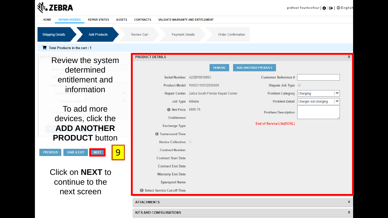

**KITS AND CONFIGURATIONS**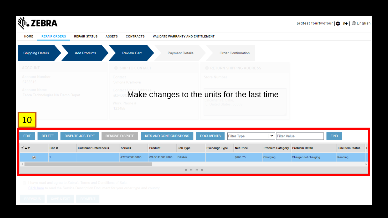

| <b>HOME</b><br><b>REPAIR ORDERS</b><br><b>REPAIR STATUS</b>          | <b>ASSETS</b><br><b>CONTRACTS</b>       | VALIDATE WARRANTY AND ENTITLEMENT           |                          |                                  |                                 |                      |                         |
|----------------------------------------------------------------------|-----------------------------------------|---------------------------------------------|--------------------------|----------------------------------|---------------------------------|----------------------|-------------------------|
| <b>Add Products</b><br><b>Shipping Details</b>                       | <b>Review Cart</b>                      | <b>Payment Details</b>                      |                          | <b>Order Confirmation</b>        |                                 |                      |                         |
| <b>ACCOUNT</b>                                                       | <b>6 SHIP TO CONTACT</b>                |                                             |                          | <b>C RETURN SHIPPING ADDRESS</b> |                                 |                      |                         |
| <b>Account Number</b><br>6765515                                     | Contact<br>Simona Kralikova             |                                             | <b>Store Number</b>      |                                  |                                 |                      |                         |
| <b>Account Name</b><br>Zebra Technologies NA Demo Depot<br><b>10</b> | Contac<br>Work Phone #<br>123455        | Make changes to the units for the last time | IL. United States, 60069 |                                  |                                 |                      |                         |
| <b>DISPUTE JOB TYPE</b><br><b>EDIT</b><br><b>DELETE</b>              | <b>REMOVE DISPUTE</b>                   | KITS AND CONFIGURATIONS                     | <b>DOCUMENTS</b>         | <b>Filter Type</b>               | $\mathbf{v}$ Filter Value       |                      | <b>FIND</b>             |
| <b>VAY</b><br>Line#                                                  | <b>Customer Reference #</b><br>Serial # | <b>Job Type</b><br><b>Product</b>           | <b>Exchange Type</b>     | <b>Net Price</b>                 | Problem Category Problem Detail |                      | <b>Line Item Status</b> |
| $\bullet$                                                            | A22BP0018893                            | WA3C11001Z000<br><b>Billable</b>            |                          | \$666.75                         | Charging                        | Charger not charging | Pending                 |
| $\leftarrow$                                                         |                                         |                                             | $M$ $M$ $N$ $M$          |                                  |                                 |                      |                         |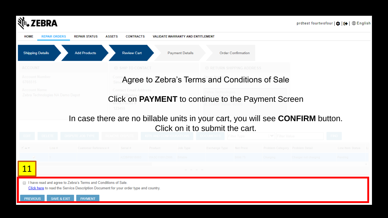



Click on it to submit the cart.

| <b>EDIT</b>       |                        | DELETE DISPUTE JOB TYPE REMOVE DISPUTE                                                                                                                 |              | KITS AND CONFIGURATIONS DOCUMENTS Filter Type |                     |                         |         | $\mathbf{V}$   Filter Value     |                      |                  |
|-------------------|------------------------|--------------------------------------------------------------------------------------------------------------------------------------------------------|--------------|-----------------------------------------------|---------------------|-------------------------|---------|---------------------------------|----------------------|------------------|
| $\mathbb{R}^d$ av | Line $#$               | Customer Reference #                                                                                                                                   | Serial #     | Product                                       | Job Type            | Exchange Type Net Price |         | Problem Category Problem Detail |                      | Line Item Status |
| $\sim$            | $\blacksquare$         |                                                                                                                                                        | A22BP0018893 | WA3C11001Z000 Billable                        |                     |                         | S666.75 | Charging                        | Charger not charging | Pending          |
|                   |                        |                                                                                                                                                        |              |                                               | $14 - 44 - 10 - 14$ |                         |         |                                 |                      |                  |
|                   |                        |                                                                                                                                                        |              |                                               |                     |                         |         |                                 |                      |                  |
|                   |                        | I have read and agree to Zebra's Terms and Conditions of Sale.<br>Click here to read the Service Description Document for your order type and country. |              |                                               |                     |                         |         |                                 |                      |                  |
| <b>PREVIOUS</b>   | <b>SAVE &amp; EXIT</b> | <b>PAYMENT</b>                                                                                                                                         |              |                                               |                     |                         |         |                                 |                      |                  |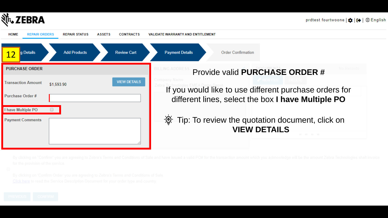

| <b>HOME</b>               | REPAIR ORDERS         |            | <b>REPAIR STATUS</b> | <b>ASSETS</b> | <b>CONTRACTS</b>    | <b>VALIDATE WARRANTY AND ENTITLEMENT</b>                                                  |
|---------------------------|-----------------------|------------|----------------------|---------------|---------------------|-------------------------------------------------------------------------------------------|
|                           | g Details             |            | <b>Add Products</b>  |               | <b>Review Cart</b>  | <b>Payment Details</b><br><b>Order Confirmation</b>                                       |
|                           | <b>PURCHASE ORDER</b> |            |                      |               |                     | No Record<br>Provide valid PURCHASE ORDER #                                               |
| <b>Transaction Amount</b> |                       | \$1,593.90 |                      |               | <b>VIEW DETAILS</b> | Company Name<br>If you would like to use different purchase orders for                    |
| Purchase Order #          |                       |            |                      |               |                     | different lines, select the box I have Multiple PO                                        |
| I have Multiple PO        |                       |            |                      |               |                     |                                                                                           |
| <b>Payment Comments</b>   |                       |            |                      |               |                     | To: Tip: To review the quotation document, click on<br><b>VIEW DETAILS</b><br>14 44 16 14 |
|                           |                       |            |                      |               |                     |                                                                                           |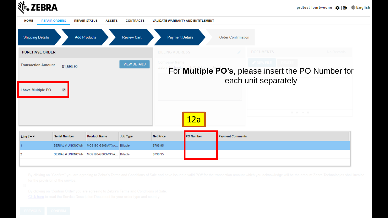

| <b>HOME</b><br><b>REPAIR ORDERS</b>                        | <b>REPAIR STATUS</b><br><b>ASSETS</b> | <b>CONTRACTS</b>    | <b>VALIDATE WARRANTY AND ENTITLEMENT</b> |           |                           |                      |                                                    |
|------------------------------------------------------------|---------------------------------------|---------------------|------------------------------------------|-----------|---------------------------|----------------------|----------------------------------------------------|
| <b>Shipping Details</b>                                    | <b>Add Products</b>                   | <b>Review Cart</b>  | <b>Payment Details</b>                   |           | <b>Order Confirmation</b> |                      |                                                    |
| <b>PURCHASE ORDER</b>                                      |                                       |                     | <b>BILLING ADDRESS</b>                   |           |                           | <b>DOCUMENTS</b>     | No Records                                         |
| <b>Transaction Amount</b><br>\$1,593.90                    |                                       | <b>VIEW DETAILS</b> | <b>Company Name</b>                      |           |                           | each unit separately | For Multiple PO's, please insert the PO Number for |
| $\blacklozenge$<br>I have Multiple PO                      |                                       |                     |                                          |           |                           |                      |                                                    |
|                                                            |                                       |                     |                                          | 12a       |                           |                      | 14 44 10 14                                        |
| <b>Serial Number</b><br>Line # $\triangle$ $\triangledown$ | <b>Product Name</b>                   | <b>Job Type</b>     | <b>Net Price</b>                         | PO Number | <b>Payment Comments</b>   |                      |                                                    |
| SERIAL # UNKNOWN                                           | MC9190-G30SWAYA                       | Billable            | \$796.95                                 |           |                           |                      |                                                    |
| <b>SERIAL # UNKNOWN</b><br>2                               | MC9190-G30SWAYA                       | <b>Billable</b>     | \$796.95                                 |           |                           |                      |                                                    |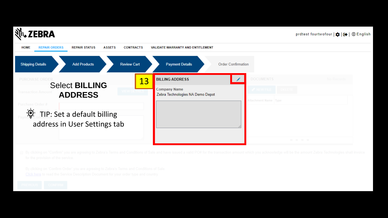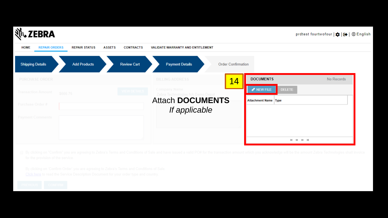

| <b>HOME</b>             | <b>REPAIR ORDERS</b>      | <b>REPAIR STATUS</b> | <b>ASSETS</b> | <b>CONTRACTS</b>    | VALIDATE WARRANTY AND ENTITLEMENT                                                      |
|-------------------------|---------------------------|----------------------|---------------|---------------------|----------------------------------------------------------------------------------------|
| <b>Shipping Details</b> |                           | <b>Add Products</b>  |               | <b>Review Cart</b>  | <b>Payment Details</b><br><b>Order Confirmation</b>                                    |
|                         | <b>PURCHASE ORDER</b>     |                      |               |                     | <b>DOCUMENTS</b><br>No Records<br><b>BILLING ADDRESS</b><br>14                         |
|                         | <b>Transaction Amount</b> | \$666.75             |               | <b>VIEW DETAILS</b> | P NEW FILE<br><b>Company Name</b><br><b>DELETE</b><br>Zebra Technologies NA Demo Depot |
| Purchase Order #        |                           |                      |               |                     | <b>Attach DOCUMENTS</b><br>Attachment Name Type                                        |
| <b>Payment Comments</b> |                           |                      |               |                     | If applicable                                                                          |
|                         |                           |                      |               |                     |                                                                                        |
|                         |                           |                      |               |                     | <b>H + H + H</b>                                                                       |

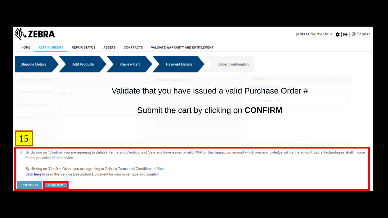| <b>HOME</b><br><b>REPAIR ORDERS</b> | <b>REPAIR STATUS</b> | <b>ASSETS</b><br><b>CONTRACTS</b>                                                                                                                                                | VALIDATE WARRANTY AND ENTITLEMENT |                                                                                                                                                                                                                    |             |
|-------------------------------------|----------------------|----------------------------------------------------------------------------------------------------------------------------------------------------------------------------------|-----------------------------------|--------------------------------------------------------------------------------------------------------------------------------------------------------------------------------------------------------------------|-------------|
| <b>Shipping Details</b>             | <b>Add Products</b>  | <b>Review Cart</b>                                                                                                                                                               | <b>Payment Details</b>            | <b>Order Confirmation</b>                                                                                                                                                                                          |             |
| <b>PURCHASE ORDER</b>               |                      |                                                                                                                                                                                  | <b>BILLING ADDRESS</b>            | <b>DOCUMENTS</b>                                                                                                                                                                                                   |             |
| <b>Transaction Amount</b>           | \$666.75             |                                                                                                                                                                                  |                                   | Validate that you have issued a valid Purchase Order #                                                                                                                                                             |             |
| Purchase Order #                    |                      |                                                                                                                                                                                  |                                   | Attachment Name Type<br>Submit the cart by clicking on CONFIRM                                                                                                                                                     |             |
| <b>Payment Comments</b>             |                      |                                                                                                                                                                                  |                                   |                                                                                                                                                                                                                    |             |
| <b>15</b>                           |                      |                                                                                                                                                                                  |                                   |                                                                                                                                                                                                                    |             |
|                                     |                      |                                                                                                                                                                                  |                                   | By clicking on "Confirm" you are agreeing to Zebra's Terms and Conditions of Sale and have issued a valid PO# for the transaction amount which you acknowledge will be the amount Zebra Technologies shall invoice | 14 44 10 14 |
| for the provision of the service.   |                      |                                                                                                                                                                                  |                                   |                                                                                                                                                                                                                    |             |
|                                     |                      | By clicking on 'Confirm Order' you are agreeing to Zebra's Terms and Conditions of Sale.<br>Click here to read the Service Description Document for your order type and country. |                                   |                                                                                                                                                                                                                    |             |
| <b>CONFIRM</b><br><b>PREVIOUS</b>   |                      |                                                                                                                                                                                  |                                   |                                                                                                                                                                                                                    |             |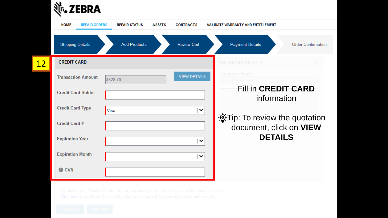|           | ZEBRA                               |                      |               |                     |                                           |                           |
|-----------|-------------------------------------|----------------------|---------------|---------------------|-------------------------------------------|---------------------------|
|           | <b>HOME</b><br><b>REPAIR ORDERS</b> | <b>REPAIR STATUS</b> | <b>ASSETS</b> | <b>CONTRACTS</b>    | <b>VALIDATE WARRANTY AND ENTITLEMENT</b>  |                           |
|           | <b>Shipping Details</b>             | <b>Add Products</b>  |               | <b>Review Cart</b>  | <b>Payment Details</b>                    | <b>Order Confirmation</b> |
| <b>12</b> | <b>CREDIT CARD</b>                  |                      |               |                     | <b>BILLING ADDRESS *</b>                  |                           |
|           | <b>Transaction Amount</b>           | \$528.70             |               | <b>VIEW DETAILS</b> | Company Name                              |                           |
|           | <b>Credit Card Holder</b>           |                      |               |                     | <b>Fill in CREDIT CARD</b><br>information |                           |
|           | <b>Credit Card Type</b>             | Visa                 |               | $\checkmark$        | Tip: To review the quotation              |                           |
|           | <b>Credit Card #</b>                |                      |               |                     | document, click on VIEW                   |                           |
|           | <b>Expiration Year</b>              |                      |               | v                   | <b>DETAILS</b>                            |                           |
|           | <b>Expiration Month</b>             |                      |               | $\checkmark$        |                                           |                           |
|           | <b>O</b> CVN                        |                      |               |                     |                                           |                           |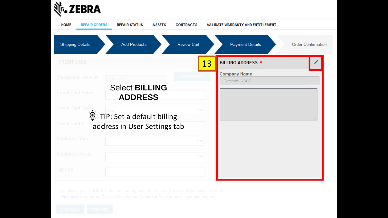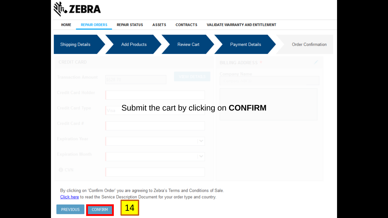| <b>REPAIR STATUS</b> | <b>ASSETS</b> | <b>CONTRACTS</b>          | VALIDATE WARRANTY AND ENTITLEMENT          |                                                           |
|----------------------|---------------|---------------------------|--------------------------------------------|-----------------------------------------------------------|
| <b>Add Products</b>  |               | <b>Review Cart</b>        | <b>Payment Details</b>                     | <b>Order Confirmation</b>                                 |
|                      |               |                           | <b>BILLING ADDRESS *</b>                   |                                                           |
|                      |               |                           | <b>Company Name</b><br><b>Company ABCD</b> |                                                           |
|                      |               |                           |                                            |                                                           |
|                      |               |                           |                                            |                                                           |
|                      |               |                           |                                            |                                                           |
|                      |               |                           |                                            |                                                           |
|                      |               | $\boldsymbol{\checkmark}$ |                                            |                                                           |
|                      | \$528.70      |                           | M                                          | <b>N DETAIL</b><br>Submit the cart by clicking on CONFIRM |

By clicking on 'Confirm Order' you are agreeing to Zebra's Terms and Conditions of Sale. Click here to read the Service Description Document for your order type and country.